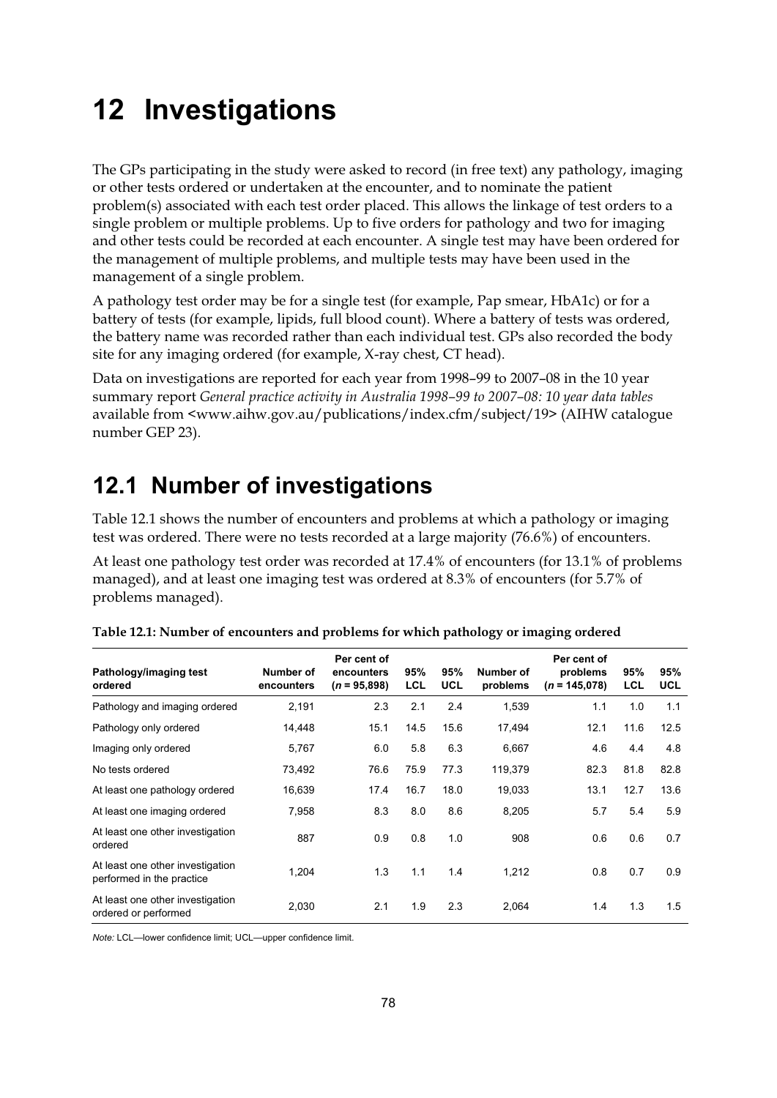# **12 Investigations**

The GPs participating in the study were asked to record (in free text) any pathology, imaging or other tests ordered or undertaken at the encounter, and to nominate the patient problem(s) associated with each test order placed. This allows the linkage of test orders to a single problem or multiple problems. Up to five orders for pathology and two for imaging and other tests could be recorded at each encounter. A single test may have been ordered for the management of multiple problems, and multiple tests may have been used in the management of a single problem.

A pathology test order may be for a single test (for example, Pap smear, HbA1c) or for a battery of tests (for example, lipids, full blood count). Where a battery of tests was ordered, the battery name was recorded rather than each individual test. GPs also recorded the body site for any imaging ordered (for example, X-ray chest, CT head).

Data on investigations are reported for each year from 1998–99 to 2007–08 in the 10 year summary report *General practice activity in Australia 1998–99 to 2007–08: 10 year data tables* available from <www.aihw.gov.au/publications/index.cfm/subject/19> (AIHW catalogue number GEP 23).

## **12.1 Number of investigations**

Table 12.1 shows the number of encounters and problems at which a pathology or imaging test was ordered. There were no tests recorded at a large majority (76.6%) of encounters.

At least one pathology test order was recorded at 17.4% of encounters (for 13.1% of problems managed), and at least one imaging test was ordered at 8.3% of encounters (for 5.7% of problems managed).

| Pathology/imaging test<br>ordered                             | Number of<br>encounters | Per cent of<br>encounters<br>$(n = 95,898)$ | 95%<br><b>LCL</b> | 95%<br><b>UCL</b> | Number of<br>problems | Per cent of<br>problems<br>$(n = 145.078)$ | 95%<br><b>LCL</b> | 95%<br><b>UCL</b> |
|---------------------------------------------------------------|-------------------------|---------------------------------------------|-------------------|-------------------|-----------------------|--------------------------------------------|-------------------|-------------------|
| Pathology and imaging ordered                                 | 2,191                   | 2.3                                         | 2.1               | 2.4               | 1,539                 | 1.1                                        | 1.0               | 1.1               |
| Pathology only ordered                                        | 14,448                  | 15.1                                        | 14.5              | 15.6              | 17,494                | 12.1                                       | 11.6              | 12.5              |
| Imaging only ordered                                          | 5,767                   | 6.0                                         | 5.8               | 6.3               | 6,667                 | 4.6                                        | 4.4               | 4.8               |
| No tests ordered                                              | 73,492                  | 76.6                                        | 75.9              | 77.3              | 119,379               | 82.3                                       | 81.8              | 82.8              |
| At least one pathology ordered                                | 16,639                  | 17.4                                        | 16.7              | 18.0              | 19,033                | 13.1                                       | 12.7              | 13.6              |
| At least one imaging ordered                                  | 7,958                   | 8.3                                         | 8.0               | 8.6               | 8,205                 | 5.7                                        | 5.4               | 5.9               |
| At least one other investigation<br>ordered                   | 887                     | 0.9                                         | 0.8               | 1.0               | 908                   | 0.6                                        | 0.6               | 0.7               |
| At least one other investigation<br>performed in the practice | 1,204                   | 1.3                                         | 1.1               | 1.4               | 1,212                 | 0.8                                        | 0.7               | 0.9               |
| At least one other investigation<br>ordered or performed      | 2,030                   | 2.1                                         | 1.9               | 2.3               | 2,064                 | 1.4                                        | 1.3               | 1.5               |

**Table 12.1: Number of encounters and problems for which pathology or imaging ordered** 

*Note:* LCL—lower confidence limit; UCL—upper confidence limit.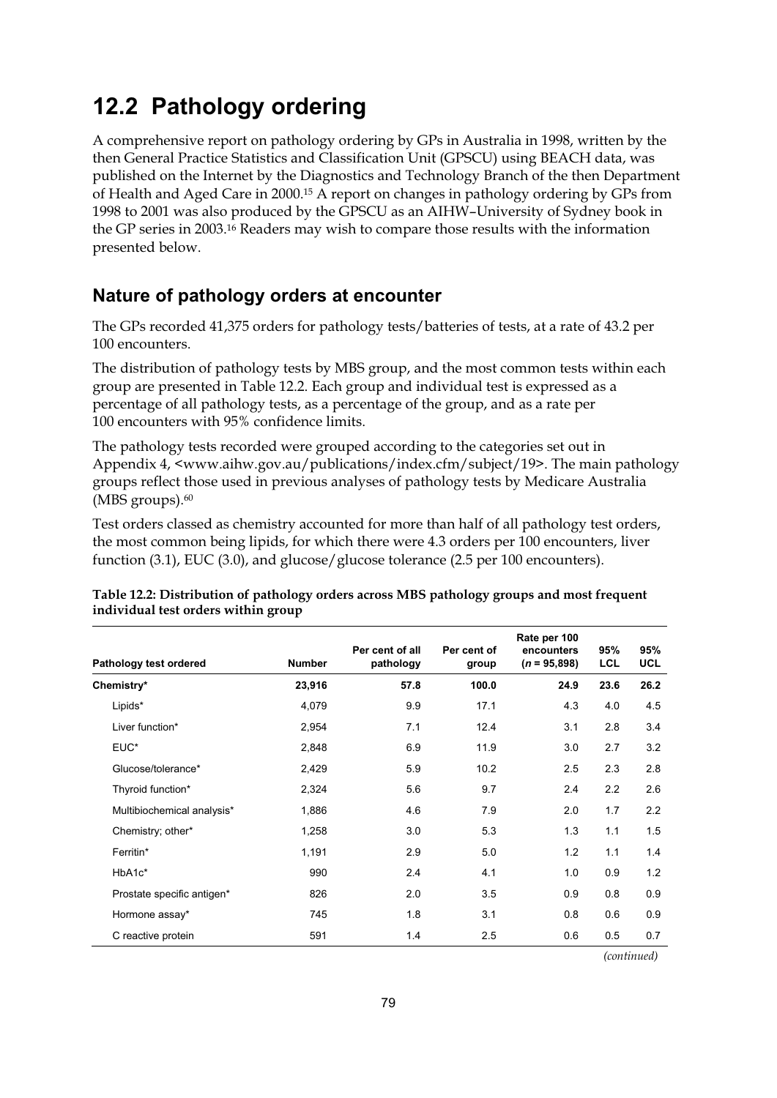## **12.2 Pathology ordering**

A comprehensive report on pathology ordering by GPs in Australia in 1998, written by the then General Practice Statistics and Classification Unit (GPSCU) using BEACH data, was published on the Internet by the Diagnostics and Technology Branch of the then Department of Health and Aged Care in 2000.15 A report on changes in pathology ordering by GPs from 1998 to 2001 was also produced by the GPSCU as an AIHW–University of Sydney book in the GP series in 2003.16 Readers may wish to compare those results with the information presented below.

## **Nature of pathology orders at encounter**

The GPs recorded 41,375 orders for pathology tests/batteries of tests, at a rate of 43.2 per 100 encounters.

The distribution of pathology tests by MBS group, and the most common tests within each group are presented in Table 12.2. Each group and individual test is expressed as a percentage of all pathology tests, as a percentage of the group, and as a rate per 100 encounters with 95% confidence limits.

The pathology tests recorded were grouped according to the categories set out in Appendix 4, <www.aihw.gov.au/publications/index.cfm/subject/19>. The main pathology groups reflect those used in previous analyses of pathology tests by Medicare Australia (MBS groups).<sup>60</sup>

Test orders classed as chemistry accounted for more than half of all pathology test orders, the most common being lipids, for which there were 4.3 orders per 100 encounters, liver function (3.1), EUC (3.0), and glucose/glucose tolerance (2.5 per 100 encounters).

| Pathology test ordered     | <b>Number</b> | Per cent of all<br>pathology | Per cent of<br>group | Rate per 100<br>encounters<br>$(n = 95,898)$ | 95%<br><b>LCL</b> | 95%<br><b>UCL</b> |
|----------------------------|---------------|------------------------------|----------------------|----------------------------------------------|-------------------|-------------------|
| Chemistry*                 | 23,916        | 57.8                         | 100.0                | 24.9                                         | 23.6              | 26.2              |
| Lipids*                    | 4,079         | 9.9                          | 17.1                 | 4.3                                          | 4.0               | 4.5               |
| Liver function*            | 2,954         | 7.1                          | 12.4                 | 3.1                                          | 2.8               | 3.4               |
| EUC*                       | 2,848         | 6.9                          | 11.9                 | 3.0                                          | 2.7               | 3.2               |
| Glucose/tolerance*         | 2,429         | 5.9                          | 10.2                 | 2.5                                          | 2.3               | 2.8               |
| Thyroid function*          | 2,324         | 5.6                          | 9.7                  | 2.4                                          | 2.2               | 2.6               |
| Multibiochemical analysis* | 1,886         | 4.6                          | 7.9                  | 2.0                                          | 1.7               | 2.2               |
| Chemistry; other*          | 1,258         | 3.0                          | 5.3                  | 1.3                                          | 1.1               | 1.5               |
| Ferritin*                  | 1,191         | 2.9                          | 5.0                  | 1.2                                          | 1.1               | 1.4               |
| HbA1c*                     | 990           | 2.4                          | 4.1                  | 1.0                                          | 0.9               | 1.2               |
| Prostate specific antigen* | 826           | 2.0                          | 3.5                  | 0.9                                          | 0.8               | 0.9               |
| Hormone assay*             | 745           | 1.8                          | 3.1                  | 0.8                                          | 0.6               | 0.9               |
| C reactive protein         | 591           | 1.4                          | 2.5                  | 0.6                                          | 0.5               | 0.7               |

#### **Table 12.2: Distribution of pathology orders across MBS pathology groups and most frequent individual test orders within group**

*(continued)*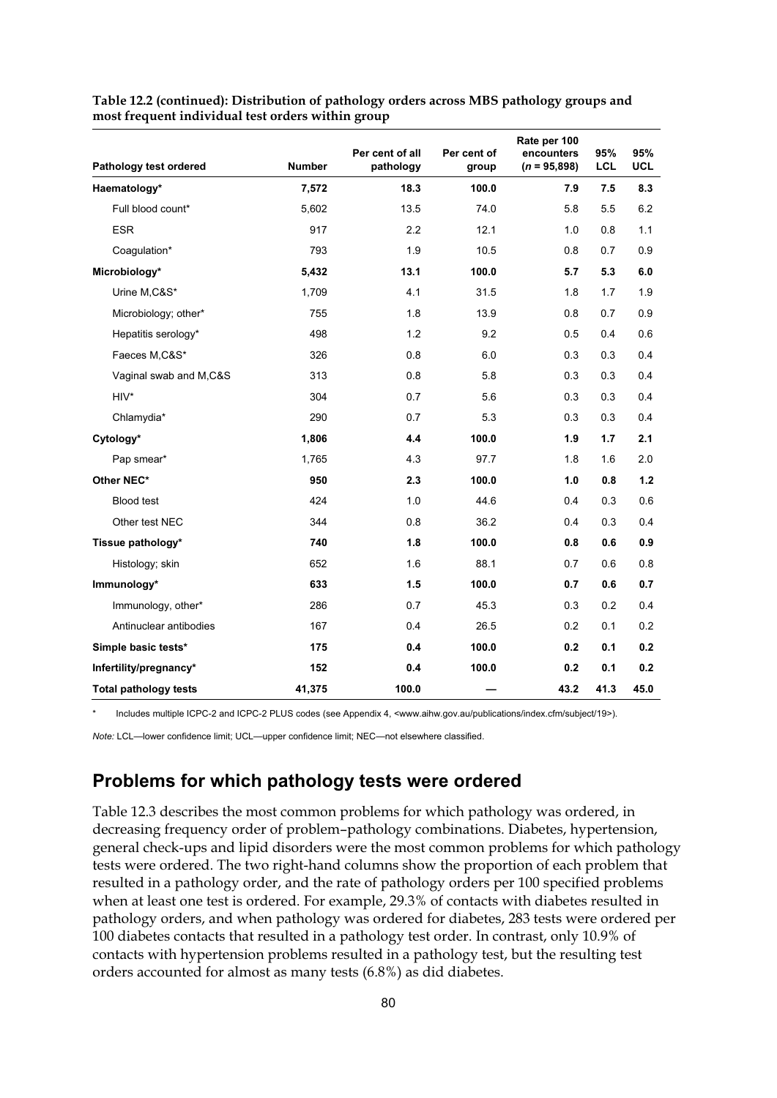| Pathology test ordered       | <b>Number</b> | Per cent of all<br>pathology | Per cent of<br>group | Rate per 100<br>encounters<br>$(n = 95,898)$ | 95%<br><b>LCL</b> | 95%<br>UCL |
|------------------------------|---------------|------------------------------|----------------------|----------------------------------------------|-------------------|------------|
| Haematology*                 | 7,572         | 18.3                         | 100.0                | 7.9                                          | 7.5               | 8.3        |
| Full blood count*            | 5,602         | 13.5                         | 74.0                 | 5.8                                          | 5.5               | 6.2        |
| <b>ESR</b>                   | 917           | 2.2                          | 12.1                 | 1.0                                          | 0.8               | 1.1        |
| Coagulation*                 | 793           | 1.9                          | 10.5                 | 0.8                                          | 0.7               | 0.9        |
| Microbiology*                | 5,432         | 13.1                         | 100.0                | 5.7                                          | 5.3               | 6.0        |
| Urine M,C&S*                 | 1,709         | 4.1                          | 31.5                 | 1.8                                          | 1.7               | 1.9        |
| Microbiology; other*         | 755           | 1.8                          | 13.9                 | 0.8                                          | 0.7               | 0.9        |
| Hepatitis serology*          | 498           | 1.2                          | 9.2                  | 0.5                                          | 0.4               | 0.6        |
| Faeces M,C&S*                | 326           | 0.8                          | 6.0                  | 0.3                                          | 0.3               | 0.4        |
| Vaginal swab and M,C&S       | 313           | 0.8                          | 5.8                  | 0.3                                          | 0.3               | 0.4        |
| $HIV^*$                      | 304           | 0.7                          | 5.6                  | 0.3                                          | 0.3               | 0.4        |
| Chlamydia*                   | 290           | 0.7                          | 5.3                  | 0.3                                          | 0.3               | 0.4        |
| Cytology*                    | 1,806         | 4.4                          | 100.0                | 1.9                                          | 1.7               | 2.1        |
| Pap smear*                   | 1,765         | 4.3                          | 97.7                 | 1.8                                          | 1.6               | 2.0        |
| Other NEC*                   | 950           | 2.3                          | 100.0                | 1.0                                          | 0.8               | 1.2        |
| Blood test                   | 424           | 1.0                          | 44.6                 | 0.4                                          | 0.3               | 0.6        |
| Other test NEC               | 344           | 0.8                          | 36.2                 | 0.4                                          | 0.3               | 0.4        |
| Tissue pathology*            | 740           | 1.8                          | 100.0                | 0.8                                          | 0.6               | 0.9        |
| Histology; skin              | 652           | 1.6                          | 88.1                 | 0.7                                          | 0.6               | 0.8        |
| Immunology*                  | 633           | 1.5                          | 100.0                | 0.7                                          | 0.6               | 0.7        |
| Immunology, other*           | 286           | 0.7                          | 45.3                 | 0.3                                          | 0.2               | 0.4        |
| Antinuclear antibodies       | 167           | 0.4                          | 26.5                 | 0.2                                          | 0.1               | 0.2        |
| Simple basic tests*          | 175           | 0.4                          | 100.0                | 0.2                                          | 0.1               | 0.2        |
| Infertility/pregnancy*       | 152           | 0.4                          | 100.0                | 0.2                                          | 0.1               | 0.2        |
| <b>Total pathology tests</b> | 41,375        | 100.0                        |                      | 43.2                                         | 41.3              | 45.0       |

**Table 12.2 (continued): Distribution of pathology orders across MBS pathology groups and most frequent individual test orders within group** 

Includes multiple ICPC-2 and ICPC-2 PLUS codes (see Appendix 4, <www.aihw.gov.au/publications/index.cfm/subject/19>).

*Note:* LCL—lower confidence limit; UCL—upper confidence limit; NEC—not elsewhere classified.

### **Problems for which pathology tests were ordered**

Table 12.3 describes the most common problems for which pathology was ordered, in decreasing frequency order of problem–pathology combinations. Diabetes, hypertension, general check-ups and lipid disorders were the most common problems for which pathology tests were ordered. The two right-hand columns show the proportion of each problem that resulted in a pathology order, and the rate of pathology orders per 100 specified problems when at least one test is ordered. For example, 29.3% of contacts with diabetes resulted in pathology orders, and when pathology was ordered for diabetes, 283 tests were ordered per 100 diabetes contacts that resulted in a pathology test order. In contrast, only 10.9% of contacts with hypertension problems resulted in a pathology test, but the resulting test orders accounted for almost as many tests (6.8%) as did diabetes.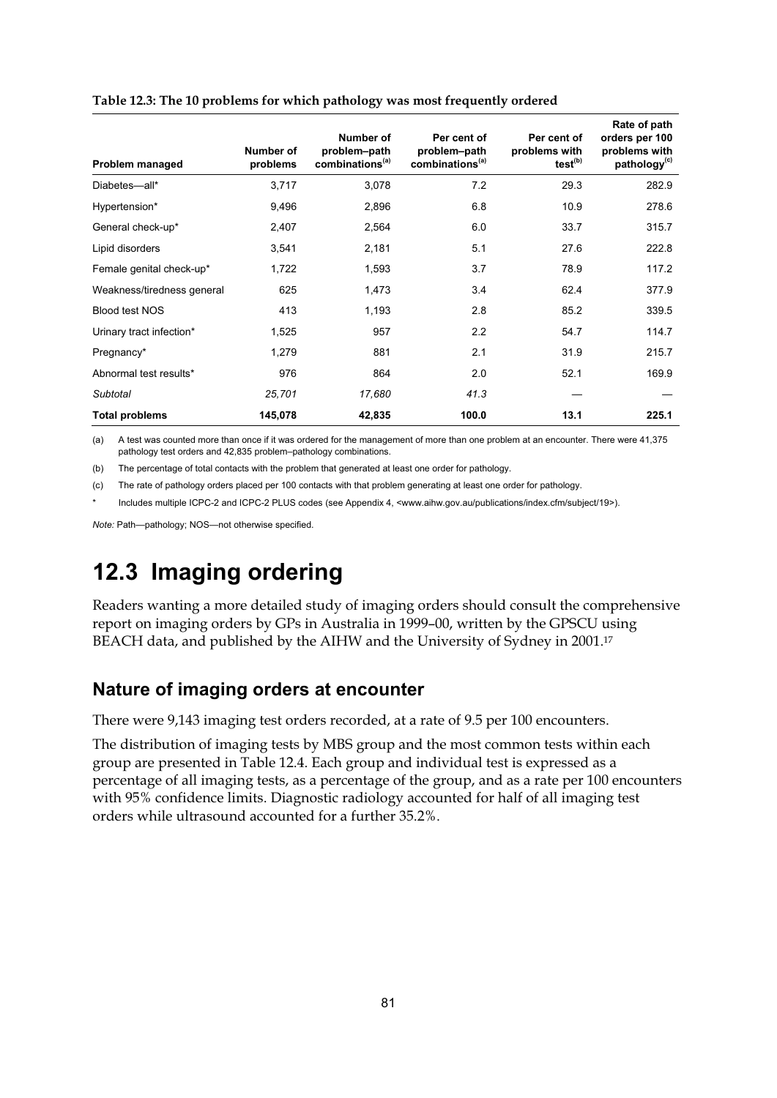| Problem managed            | Number of<br>problems | Number of<br>problem-path<br>combinations <sup>(a)</sup> | Per cent of<br>problem-path<br>combinations <sup>(a)</sup> | Per cent of<br>problems with<br>test <sup>(b)</sup> | Rate of path<br>orders per 100<br>problems with<br>pathology <sup>(c)</sup> |
|----------------------------|-----------------------|----------------------------------------------------------|------------------------------------------------------------|-----------------------------------------------------|-----------------------------------------------------------------------------|
| Diabetes-all*              | 3,717                 | 3,078                                                    | 7.2                                                        | 29.3                                                | 282.9                                                                       |
| Hypertension*              | 9,496                 | 2,896                                                    | 6.8                                                        | 10.9                                                | 278.6                                                                       |
| General check-up*          | 2,407                 | 2,564                                                    | 6.0                                                        | 33.7                                                | 315.7                                                                       |
| Lipid disorders            | 3,541                 | 2,181                                                    | 5.1                                                        | 27.6                                                | 222.8                                                                       |
| Female genital check-up*   | 1,722                 | 1,593                                                    | 3.7                                                        | 78.9                                                | 117.2                                                                       |
| Weakness/tiredness general | 625                   | 1,473                                                    | 3.4                                                        | 62.4                                                | 377.9                                                                       |
| <b>Blood test NOS</b>      | 413                   | 1,193                                                    | 2.8                                                        | 85.2                                                | 339.5                                                                       |
| Urinary tract infection*   | 1,525                 | 957                                                      | 2.2                                                        | 54.7                                                | 114.7                                                                       |
| Pregnancy*                 | 1,279                 | 881                                                      | 2.1                                                        | 31.9                                                | 215.7                                                                       |
| Abnormal test results*     | 976                   | 864                                                      | 2.0                                                        | 52.1                                                | 169.9                                                                       |
| Subtotal                   | 25,701                | 17,680                                                   | 41.3                                                       |                                                     |                                                                             |
| <b>Total problems</b>      | 145,078               | 42,835                                                   | 100.0                                                      | 13.1                                                | 225.1                                                                       |

#### **Table 12.3: The 10 problems for which pathology was most frequently ordered**

(a) A test was counted more than once if it was ordered for the management of more than one problem at an encounter. There were 41,375 pathology test orders and 42,835 problem–pathology combinations.

(b) The percentage of total contacts with the problem that generated at least one order for pathology.

(c) The rate of pathology orders placed per 100 contacts with that problem generating at least one order for pathology.

Includes multiple ICPC-2 and ICPC-2 PLUS codes (see Appendix 4, <www.aihw.gov.au/publications/index.cfm/subject/19>).

*Note:* Path—pathology; NOS—not otherwise specified.

## **12.3 Imaging ordering**

Readers wanting a more detailed study of imaging orders should consult the comprehensive report on imaging orders by GPs in Australia in 1999–00, written by the GPSCU using BEACH data, and published by the AIHW and the University of Sydney in 2001.<sup>17</sup>

### **Nature of imaging orders at encounter**

There were 9,143 imaging test orders recorded, at a rate of 9.5 per 100 encounters.

The distribution of imaging tests by MBS group and the most common tests within each group are presented in Table 12.4. Each group and individual test is expressed as a percentage of all imaging tests, as a percentage of the group, and as a rate per 100 encounters with 95% confidence limits. Diagnostic radiology accounted for half of all imaging test orders while ultrasound accounted for a further 35.2%.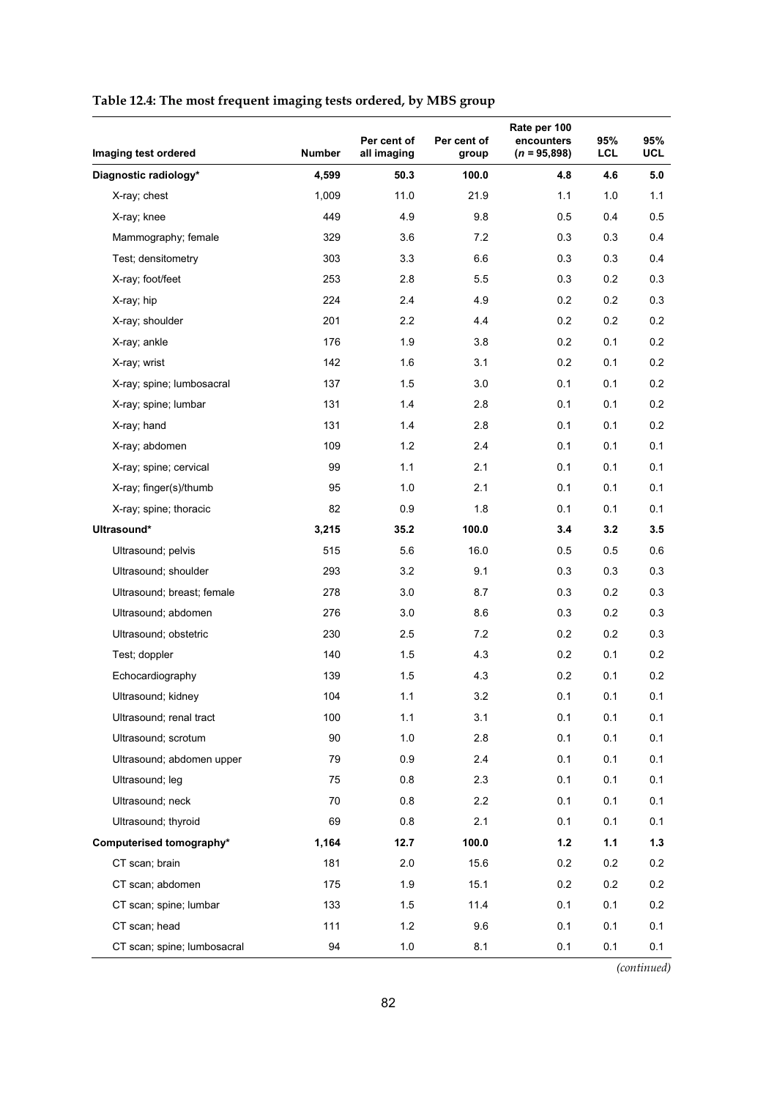|  | Table 12.4: The most frequent imaging tests ordered, by MBS group |  |
|--|-------------------------------------------------------------------|--|
|  |                                                                   |  |

| Imaging test ordered        | <b>Number</b> | Per cent of<br>all imaging | Per cent of<br>group | Rate per 100<br>encounters<br>$(n = 95,898)$ | 95%<br><b>LCL</b> | 95%<br>UCL |
|-----------------------------|---------------|----------------------------|----------------------|----------------------------------------------|-------------------|------------|
| Diagnostic radiology*       | 4,599         | 50.3                       | 100.0                | 4.8                                          | 4.6               | 5.0        |
| X-ray; chest                | 1,009         | 11.0                       | 21.9                 | 1.1                                          | 1.0               | 1.1        |
| X-ray; knee                 | 449           | 4.9                        | 9.8                  | 0.5                                          | 0.4               | 0.5        |
| Mammography; female         | 329           | 3.6                        | 7.2                  | 0.3                                          | 0.3               | 0.4        |
| Test; densitometry          | 303           | 3.3                        | 6.6                  | 0.3                                          | 0.3               | 0.4        |
| X-ray; foot/feet            | 253           | 2.8                        | 5.5                  | 0.3                                          | 0.2               | 0.3        |
| X-ray; hip                  | 224           | 2.4                        | 4.9                  | 0.2                                          | $0.2\,$           | 0.3        |
| X-ray; shoulder             | 201           | 2.2                        | 4.4                  | 0.2                                          | 0.2               | 0.2        |
| X-ray; ankle                | 176           | 1.9                        | 3.8                  | 0.2                                          | 0.1               | $0.2\,$    |
| X-ray; wrist                | 142           | 1.6                        | 3.1                  | 0.2                                          | 0.1               | 0.2        |
| X-ray; spine; lumbosacral   | 137           | 1.5                        | 3.0                  | 0.1                                          | 0.1               | 0.2        |
| X-ray; spine; lumbar        | 131           | 1.4                        | 2.8                  | 0.1                                          | 0.1               | 0.2        |
| X-ray; hand                 | 131           | 1.4                        | 2.8                  | 0.1                                          | 0.1               | 0.2        |
| X-ray; abdomen              | 109           | 1.2                        | 2.4                  | 0.1                                          | 0.1               | 0.1        |
| X-ray; spine; cervical      | 99            | 1.1                        | 2.1                  | 0.1                                          | 0.1               | 0.1        |
| X-ray; finger(s)/thumb      | 95            | 1.0                        | 2.1                  | 0.1                                          | 0.1               | 0.1        |
| X-ray; spine; thoracic      | 82            | 0.9                        | 1.8                  | 0.1                                          | 0.1               | 0.1        |
| Ultrasound*                 | 3,215         | 35.2                       | 100.0                | 3.4                                          | 3.2               | 3.5        |
| Ultrasound; pelvis          | 515           | 5.6                        | 16.0                 | 0.5                                          | 0.5               | 0.6        |
| Ultrasound; shoulder        | 293           | 3.2                        | 9.1                  | 0.3                                          | 0.3               | 0.3        |
| Ultrasound; breast; female  | 278           | 3.0                        | 8.7                  | 0.3                                          | 0.2               | 0.3        |
| Ultrasound; abdomen         | 276           | 3.0                        | 8.6                  | 0.3                                          | $0.2\,$           | 0.3        |
| Ultrasound; obstetric       | 230           | 2.5                        | 7.2                  | 0.2                                          | 0.2               | 0.3        |
| Test; doppler               | 140           | 1.5                        | 4.3                  | 0.2                                          | 0.1               | $0.2\,$    |
| Echocardiography            | 139           | 1.5                        | 4.3                  | 0.2                                          | 0.1               | $0.2\,$    |
| Ultrasound; kidney          | 104           | 1.1                        | 3.2                  | 0.1                                          | 0.1               | 0.1        |
| Ultrasound; renal tract     | 100           | 1.1                        | 3.1                  | 0.1                                          | 0.1               | 0.1        |
| Ultrasound; scrotum         | 90            | 1.0                        | 2.8                  | 0.1                                          | 0.1               | 0.1        |
| Ultrasound; abdomen upper   | 79            | 0.9                        | 2.4                  | 0.1                                          | 0.1               | 0.1        |
| Ultrasound; leg             | 75            | 0.8                        | 2.3                  | 0.1                                          | 0.1               | 0.1        |
| Ultrasound; neck            | 70            | 0.8                        | 2.2                  | 0.1                                          | 0.1               | 0.1        |
| Ultrasound; thyroid         | 69            | 0.8                        | 2.1                  | 0.1                                          | 0.1               | 0.1        |
| Computerised tomography*    | 1,164         | 12.7                       | 100.0                | $1.2$                                        | $1.1$             | 1.3        |
| CT scan; brain              | 181           | 2.0                        | 15.6                 | 0.2                                          | 0.2               | 0.2        |
| CT scan; abdomen            | 175           | 1.9                        | 15.1                 | 0.2                                          | 0.2               | 0.2        |
| CT scan; spine; lumbar      | 133           | 1.5                        | 11.4                 | 0.1                                          | 0.1               | 0.2        |
| CT scan; head               | 111           | 1.2                        | 9.6                  | 0.1                                          | 0.1               | 0.1        |
| CT scan; spine; lumbosacral | 94            | 1.0                        | 8.1                  | 0.1                                          | 0.1               | 0.1        |

*(continued)*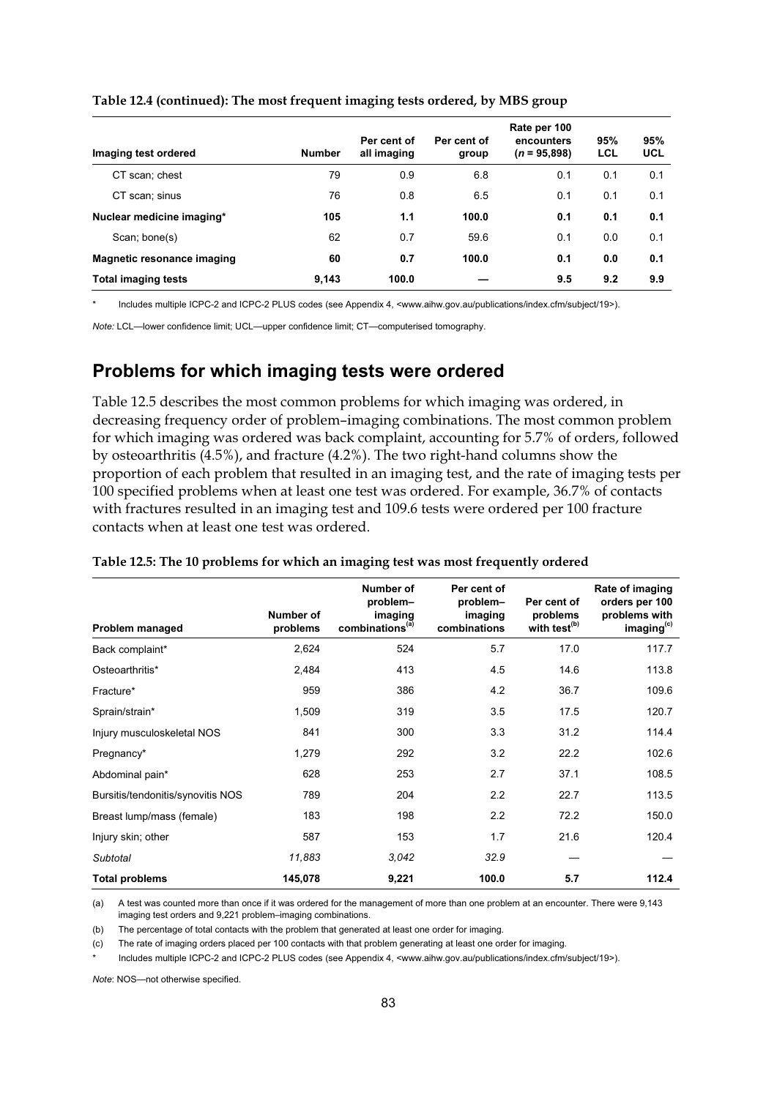| Imaging test ordered       | <b>Number</b> | Per cent of<br>all imaging | Per cent of<br>group | Rate per 100<br>encounters<br>$(n = 95,898)$ | 95%<br>LCL | 95%<br><b>UCL</b> |
|----------------------------|---------------|----------------------------|----------------------|----------------------------------------------|------------|-------------------|
| CT scan; chest             | 79            | 0.9                        | 6.8                  | 0.1                                          | 0.1        | 0.1               |
| CT scan; sinus             | 76            | 0.8                        | 6.5                  | 0.1                                          | 0.1        | 0.1               |
| Nuclear medicine imaging*  | 105           | 1.1                        | 100.0                | 0.1                                          | 0.1        | 0.1               |
| Scan; bone(s)              | 62            | 0.7                        | 59.6                 | 0.1                                          | 0.0        | 0.1               |
| Magnetic resonance imaging | 60            | 0.7                        | 100.0                | 0.1                                          | 0.0        | 0.1               |
| <b>Total imaging tests</b> | 9,143         | 100.0                      |                      | 9.5                                          | 9.2        | 9.9               |

#### **Table 12.4 (continued): The most frequent imaging tests ordered, by MBS group**

Includes multiple ICPC-2 and ICPC-2 PLUS codes (see Appendix 4, <www.aihw.gov.au/publications/index.cfm/subject/19>).

*Note:* LCL—lower confidence limit; UCL—upper confidence limit; CT—computerised tomography.

### **Problems for which imaging tests were ordered**

Table 12.5 describes the most common problems for which imaging was ordered, in decreasing frequency order of problem–imaging combinations. The most common problem for which imaging was ordered was back complaint, accounting for 5.7% of orders, followed by osteoarthritis (4.5%), and fracture (4.2%). The two right-hand columns show the proportion of each problem that resulted in an imaging test, and the rate of imaging tests per 100 specified problems when at least one test was ordered. For example, 36.7% of contacts with fractures resulted in an imaging test and 109.6 tests were ordered per 100 fracture contacts when at least one test was ordered.

| Problem managed                   | Number of<br>problems | <b>Number of</b><br>problem-<br>imaging<br>combinations <sup>(a)</sup> | Per cent of<br>problem-<br>imaging<br>combinations | Per cent of<br>problems<br>with test <sup>(b)</sup> | Rate of imaging<br>orders per 100<br>problems with<br>imaging <sup>(c)</sup> |
|-----------------------------------|-----------------------|------------------------------------------------------------------------|----------------------------------------------------|-----------------------------------------------------|------------------------------------------------------------------------------|
| Back complaint*                   | 2,624                 | 524                                                                    | 5.7                                                | 17.0                                                | 117.7                                                                        |
| Osteoarthritis*                   | 2,484                 | 413                                                                    | 4.5                                                | 14.6                                                | 113.8                                                                        |
| Fracture*                         | 959                   | 386                                                                    | 4.2                                                | 36.7                                                | 109.6                                                                        |
| Sprain/strain*                    | 1,509                 | 319                                                                    | 3.5                                                | 17.5                                                | 120.7                                                                        |
| Injury musculoskeletal NOS        | 841                   | 300                                                                    | 3.3                                                | 31.2                                                | 114.4                                                                        |
| Pregnancy*                        | 1,279                 | 292                                                                    | 3.2                                                | 22.2                                                | 102.6                                                                        |
| Abdominal pain*                   | 628                   | 253                                                                    | 2.7                                                | 37.1                                                | 108.5                                                                        |
| Bursitis/tendonitis/synovitis NOS | 789                   | 204                                                                    | 2.2                                                | 22.7                                                | 113.5                                                                        |
| Breast lump/mass (female)         | 183                   | 198                                                                    | 2.2                                                | 72.2                                                | 150.0                                                                        |
| Injury skin; other                | 587                   | 153                                                                    | 1.7                                                | 21.6                                                | 120.4                                                                        |
| Subtotal                          | 11,883                | 3,042                                                                  | 32.9                                               |                                                     |                                                                              |
| <b>Total problems</b>             | 145,078               | 9,221                                                                  | 100.0                                              | 5.7                                                 | 112.4                                                                        |

#### **Table 12.5: The 10 problems for which an imaging test was most frequently ordered**

(a) A test was counted more than once if it was ordered for the management of more than one problem at an encounter. There were 9,143 imaging test orders and 9,221 problem–imaging combinations.

(b) The percentage of total contacts with the problem that generated at least one order for imaging.

(c) The rate of imaging orders placed per 100 contacts with that problem generating at least one order for imaging.

Includes multiple ICPC-2 and ICPC-2 PLUS codes (see Appendix 4, <www.aihw.gov.au/publications/index.cfm/subject/19>).

*Note*: NOS—not otherwise specified.